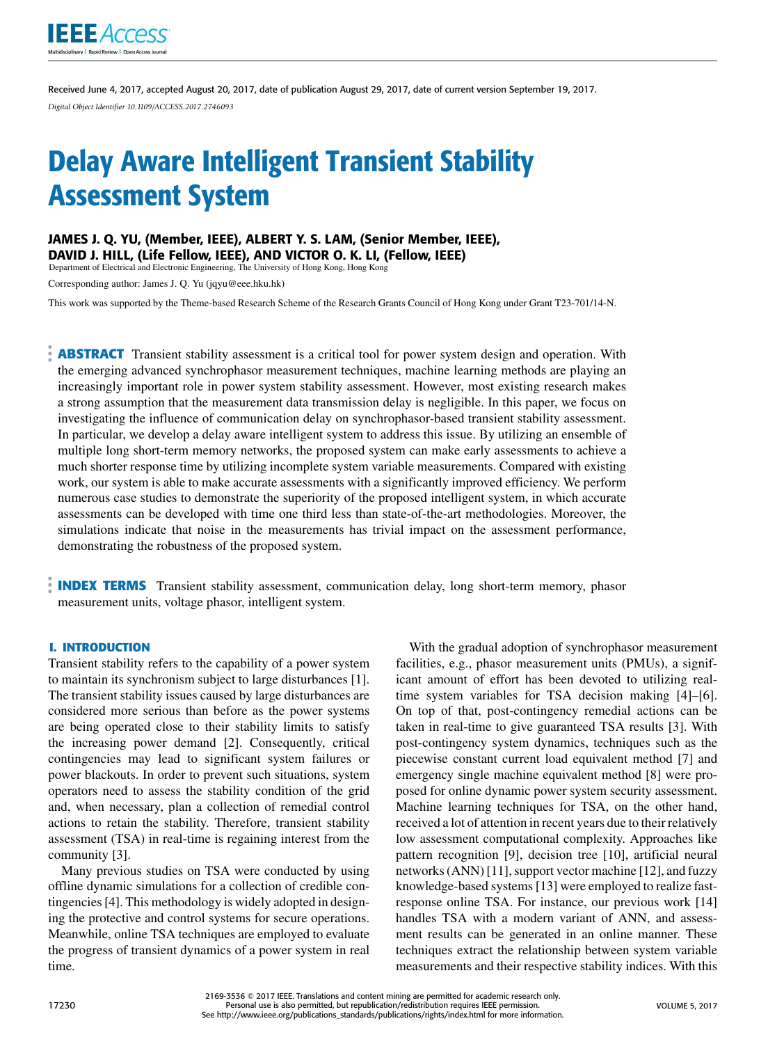

Received June 4, 2017, accepted August 20, 2017, date of publication August 29, 2017, date of current version September 19, 2017. *Digital Object Identifier 10.1109/ACCESS.2017.2746093*

# Delay Aware Intelligent Transient Stability Assessment System

### JAMES J. Q. YU, (Member, IEEE), ALBERT Y. S. LAM, (Senior Member, IEEE),

DAVID J. HILL, (Life Fellow, IEEE), AND VICTOR O. K. LI, (Fellow, IEEE)

Department of Electrical and Electronic Engineering, The University of Hong Kong, Hong Kong

Corresponding author: James J. Q. Yu (jqyu@eee.hku.hk)

This work was supported by the Theme-based Research Scheme of the Research Grants Council of Hong Kong under Grant T23-701/14-N.

**ABSTRACT** Transient stability assessment is a critical tool for power system design and operation. With the emerging advanced synchrophasor measurement techniques, machine learning methods are playing an increasingly important role in power system stability assessment. However, most existing research makes a strong assumption that the measurement data transmission delay is negligible. In this paper, we focus on investigating the influence of communication delay on synchrophasor-based transient stability assessment. In particular, we develop a delay aware intelligent system to address this issue. By utilizing an ensemble of multiple long short-term memory networks, the proposed system can make early assessments to achieve a much shorter response time by utilizing incomplete system variable measurements. Compared with existing work, our system is able to make accurate assessments with a significantly improved efficiency. We perform numerous case studies to demonstrate the superiority of the proposed intelligent system, in which accurate assessments can be developed with time one third less than state-of-the-art methodologies. Moreover, the simulations indicate that noise in the measurements has trivial impact on the assessment performance, demonstrating the robustness of the proposed system.

**INDEX TERMS** Transient stability assessment, communication delay, long short-term memory, phasor measurement units, voltage phasor, intelligent system.

#### **I. INTRODUCTION**

Transient stability refers to the capability of a power system to maintain its synchronism subject to large disturbances [1]. The transient stability issues caused by large disturbances are considered more serious than before as the power systems are being operated close to their stability limits to satisfy the increasing power demand [2]. Consequently, critical contingencies may lead to significant system failures or power blackouts. In order to prevent such situations, system operators need to assess the stability condition of the grid and, when necessary, plan a collection of remedial control actions to retain the stability. Therefore, transient stability assessment (TSA) in real-time is regaining interest from the community [3].

Many previous studies on TSA were conducted by using offline dynamic simulations for a collection of credible contingencies [4]. This methodology is widely adopted in designing the protective and control systems for secure operations. Meanwhile, online TSA techniques are employed to evaluate the progress of transient dynamics of a power system in real time.

With the gradual adoption of synchrophasor measurement facilities, e.g., phasor measurement units (PMUs), a significant amount of effort has been devoted to utilizing realtime system variables for TSA decision making [4]–[6]. On top of that, post-contingency remedial actions can be taken in real-time to give guaranteed TSA results [3]. With post-contingency system dynamics, techniques such as the piecewise constant current load equivalent method [7] and emergency single machine equivalent method [8] were proposed for online dynamic power system security assessment. Machine learning techniques for TSA, on the other hand, received a lot of attention in recent years due to their relatively low assessment computational complexity. Approaches like pattern recognition [9], decision tree [10], artificial neural networks (ANN) [11], support vector machine [12], and fuzzy knowledge-based systems [13] were employed to realize fastresponse online TSA. For instance, our previous work [14] handles TSA with a modern variant of ANN, and assessment results can be generated in an online manner. These techniques extract the relationship between system variable measurements and their respective stability indices. With this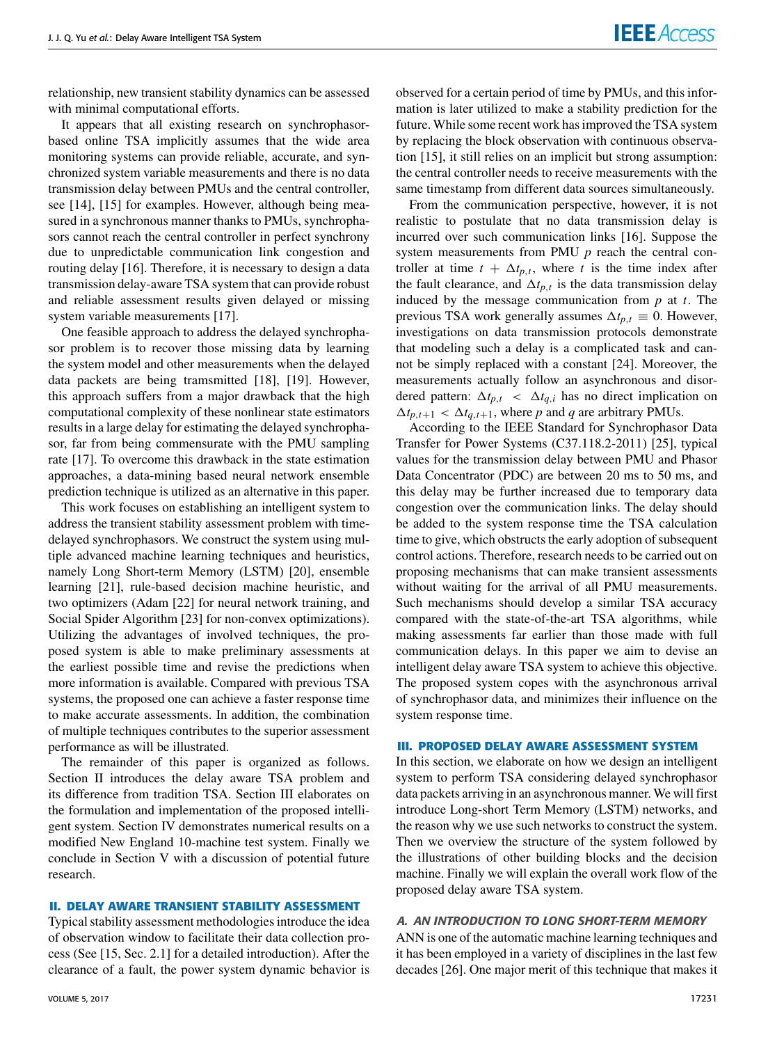relationship, new transient stability dynamics can be assessed with minimal computational efforts.

It appears that all existing research on synchrophasorbased online TSA implicitly assumes that the wide area monitoring systems can provide reliable, accurate, and synchronized system variable measurements and there is no data transmission delay between PMUs and the central controller, see [14], [15] for examples. However, although being measured in a synchronous manner thanks to PMUs, synchrophasors cannot reach the central controller in perfect synchrony due to unpredictable communication link congestion and routing delay [16]. Therefore, it is necessary to design a data transmission delay-aware TSA system that can provide robust and reliable assessment results given delayed or missing system variable measurements [17].

One feasible approach to address the delayed synchrophasor problem is to recover those missing data by learning the system model and other measurements when the delayed data packets are being tramsmitted [18], [19]. However, this approach suffers from a major drawback that the high computational complexity of these nonlinear state estimators results in a large delay for estimating the delayed synchrophasor, far from being commensurate with the PMU sampling rate [17]. To overcome this drawback in the state estimation approaches, a data-mining based neural network ensemble prediction technique is utilized as an alternative in this paper.

This work focuses on establishing an intelligent system to address the transient stability assessment problem with timedelayed synchrophasors. We construct the system using multiple advanced machine learning techniques and heuristics, namely Long Short-term Memory (LSTM) [20], ensemble learning [21], rule-based decision machine heuristic, and two optimizers (Adam [22] for neural network training, and Social Spider Algorithm [23] for non-convex optimizations). Utilizing the advantages of involved techniques, the proposed system is able to make preliminary assessments at the earliest possible time and revise the predictions when more information is available. Compared with previous TSA systems, the proposed one can achieve a faster response time to make accurate assessments. In addition, the combination of multiple techniques contributes to the superior assessment performance as will be illustrated.

The remainder of this paper is organized as follows. Section II introduces the delay aware TSA problem and its difference from tradition TSA. Section III elaborates on the formulation and implementation of the proposed intelligent system. Section IV demonstrates numerical results on a modified New England 10-machine test system. Finally we conclude in Section V with a discussion of potential future research.

#### **II. DELAY AWARE TRANSIENT STABILITY ASSESSMENT**

Typical stability assessment methodologies introduce the idea of observation window to facilitate their data collection process (See [15, Sec. 2.1] for a detailed introduction). After the clearance of a fault, the power system dynamic behavior is observed for a certain period of time by PMUs, and this information is later utilized to make a stability prediction for the future. While some recent work has improved the TSA system by replacing the block observation with continuous observation [15], it still relies on an implicit but strong assumption: the central controller needs to receive measurements with the same timestamp from different data sources simultaneously.

From the communication perspective, however, it is not realistic to postulate that no data transmission delay is incurred over such communication links [16]. Suppose the system measurements from PMU *p* reach the central controller at time  $t + \Delta t_{p,t}$ , where *t* is the time index after the fault clearance, and  $\Delta t_{p,t}$  is the data transmission delay induced by the message communication from *p* at *t*. The previous TSA work generally assumes  $\Delta t_{p,t} \equiv 0$ . However, investigations on data transmission protocols demonstrate that modeling such a delay is a complicated task and cannot be simply replaced with a constant [24]. Moreover, the measurements actually follow an asynchronous and disordered pattern:  $\Delta t_{p,t} < \Delta t_{q,i}$  has no direct implication on  $\Delta t_{p,t+1} < \Delta t_{q,t+1}$ , where *p* and *q* are arbitrary PMUs.

According to the IEEE Standard for Synchrophasor Data Transfer for Power Systems (C37.118.2-2011) [25], typical values for the transmission delay between PMU and Phasor Data Concentrator (PDC) are between 20 ms to 50 ms, and this delay may be further increased due to temporary data congestion over the communication links. The delay should be added to the system response time the TSA calculation time to give, which obstructs the early adoption of subsequent control actions. Therefore, research needs to be carried out on proposing mechanisms that can make transient assessments without waiting for the arrival of all PMU measurements. Such mechanisms should develop a similar TSA accuracy compared with the state-of-the-art TSA algorithms, while making assessments far earlier than those made with full communication delays. In this paper we aim to devise an intelligent delay aware TSA system to achieve this objective. The proposed system copes with the asynchronous arrival of synchrophasor data, and minimizes their influence on the system response time.

#### **III. PROPOSED DELAY AWARE ASSESSMENT SYSTEM**

In this section, we elaborate on how we design an intelligent system to perform TSA considering delayed synchrophasor data packets arriving in an asynchronous manner. We will first introduce Long-short Term Memory (LSTM) networks, and the reason why we use such networks to construct the system. Then we overview the structure of the system followed by the illustrations of other building blocks and the decision machine. Finally we will explain the overall work flow of the proposed delay aware TSA system.

#### A. AN INTRODUCTION TO LONG SHORT-TERM MEMORY

ANN is one of the automatic machine learning techniques and it has been employed in a variety of disciplines in the last few decades [26]. One major merit of this technique that makes it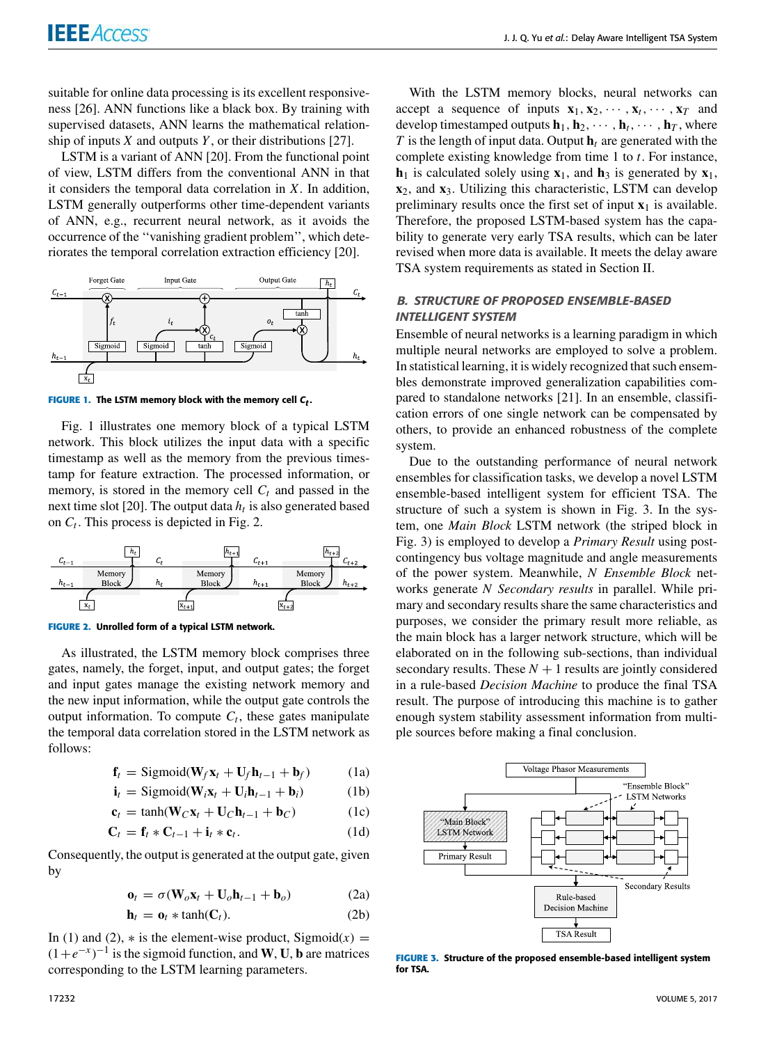suitable for online data processing is its excellent responsiveness [26]. ANN functions like a black box. By training with supervised datasets, ANN learns the mathematical relationship of inputs *X* and outputs *Y* , or their distributions [27].

LSTM is a variant of ANN [20]. From the functional point of view, LSTM differs from the conventional ANN in that it considers the temporal data correlation in *X*. In addition, LSTM generally outperforms other time-dependent variants of ANN, e.g., recurrent neural network, as it avoids the occurrence of the ''vanishing gradient problem'', which deteriorates the temporal correlation extraction efficiency [20].



FIGURE 1. The LSTM memory block with the memory cell  $\bm{\mathsf{C}}_t.$ 

Fig. 1 illustrates one memory block of a typical LSTM network. This block utilizes the input data with a specific timestamp as well as the memory from the previous timestamp for feature extraction. The processed information, or memory, is stored in the memory cell  $C_t$  and passed in the next time slot [20]. The output data *h<sup>t</sup>* is also generated based on  $C_t$ . This process is depicted in Fig. 2.



**FIGURE 2.** Unrolled form of a typical LSTM network.

As illustrated, the LSTM memory block comprises three gates, namely, the forget, input, and output gates; the forget and input gates manage the existing network memory and the new input information, while the output gate controls the output information. To compute  $C_t$ , these gates manipulate the temporal data correlation stored in the LSTM network as follows:

$$
\mathbf{f}_t = \text{Sigmoid}(\mathbf{W}_f \mathbf{x}_t + \mathbf{U}_f \mathbf{h}_{t-1} + \mathbf{b}_f)
$$
 (1a)

$$
\mathbf{i}_t = \text{Sigmoid}(\mathbf{W}_i \mathbf{x}_t + \mathbf{U}_i \mathbf{h}_{t-1} + \mathbf{b}_i)
$$
 (1b)

$$
\mathbf{c}_t = \tanh(\mathbf{W}_C \mathbf{x}_t + \mathbf{U}_C \mathbf{h}_{t-1} + \mathbf{b}_C) \tag{1c}
$$

$$
\mathbf{C}_t = \mathbf{f}_t * \mathbf{C}_{t-1} + \mathbf{i}_t * \mathbf{c}_t. \tag{1d}
$$

Consequently, the output is generated at the output gate, given by

$$
\mathbf{o}_t = \sigma(\mathbf{W}_o \mathbf{x}_t + \mathbf{U}_o \mathbf{h}_{t-1} + \mathbf{b}_o) \tag{2a}
$$

$$
\mathbf{h}_t = \mathbf{o}_t * \tanh(\mathbf{C}_t). \tag{2b}
$$

In (1) and (2),  $*$  is the element-wise product, Sigmoid(x) =  $(1+e^{-x})^{-1}$  is the sigmoid function, and **W**, **U**, **b** are matrices corresponding to the LSTM learning parameters.

With the LSTM memory blocks, neural networks can accept a sequence of inputs  $\mathbf{x}_1, \mathbf{x}_2, \cdots, \mathbf{x}_t, \cdots, \mathbf{x}_T$  and develop timestamped outputs  $\mathbf{h}_1, \mathbf{h}_2, \cdots, \mathbf{h}_t, \cdots, \mathbf{h}_T$ , where  $T$  is the length of input data. Output  $h_t$  are generated with the complete existing knowledge from time 1 to *t*. For instance,  $h_1$  is calculated solely using  $x_1$ , and  $h_3$  is generated by  $x_1$ , **x**2, and **x**3. Utilizing this characteristic, LSTM can develop preliminary results once the first set of input  $x_1$  is available. Therefore, the proposed LSTM-based system has the capability to generate very early TSA results, which can be later revised when more data is available. It meets the delay aware TSA system requirements as stated in Section II.

#### B. STRUCTURE OF PROPOSED ENSEMBLE-BASED INTELLIGENT SYSTEM

Ensemble of neural networks is a learning paradigm in which multiple neural networks are employed to solve a problem. In statistical learning, it is widely recognized that such ensembles demonstrate improved generalization capabilities compared to standalone networks [21]. In an ensemble, classification errors of one single network can be compensated by others, to provide an enhanced robustness of the complete system.

Due to the outstanding performance of neural network ensembles for classification tasks, we develop a novel LSTM ensemble-based intelligent system for efficient TSA. The structure of such a system is shown in Fig. 3. In the system, one *Main Block* LSTM network (the striped block in Fig. 3) is employed to develop a *Primary Result* using postcontingency bus voltage magnitude and angle measurements of the power system. Meanwhile, *N Ensemble Block* networks generate *N Secondary results* in parallel. While primary and secondary results share the same characteristics and purposes, we consider the primary result more reliable, as the main block has a larger network structure, which will be elaborated on in the following sub-sections, than individual secondary results. These  $N + 1$  results are jointly considered in a rule-based *Decision Machine* to produce the final TSA result. The purpose of introducing this machine is to gather enough system stability assessment information from multiple sources before making a final conclusion.



**FIGURE 3.** Structure of the proposed ensemble-based intelligent system for TSA.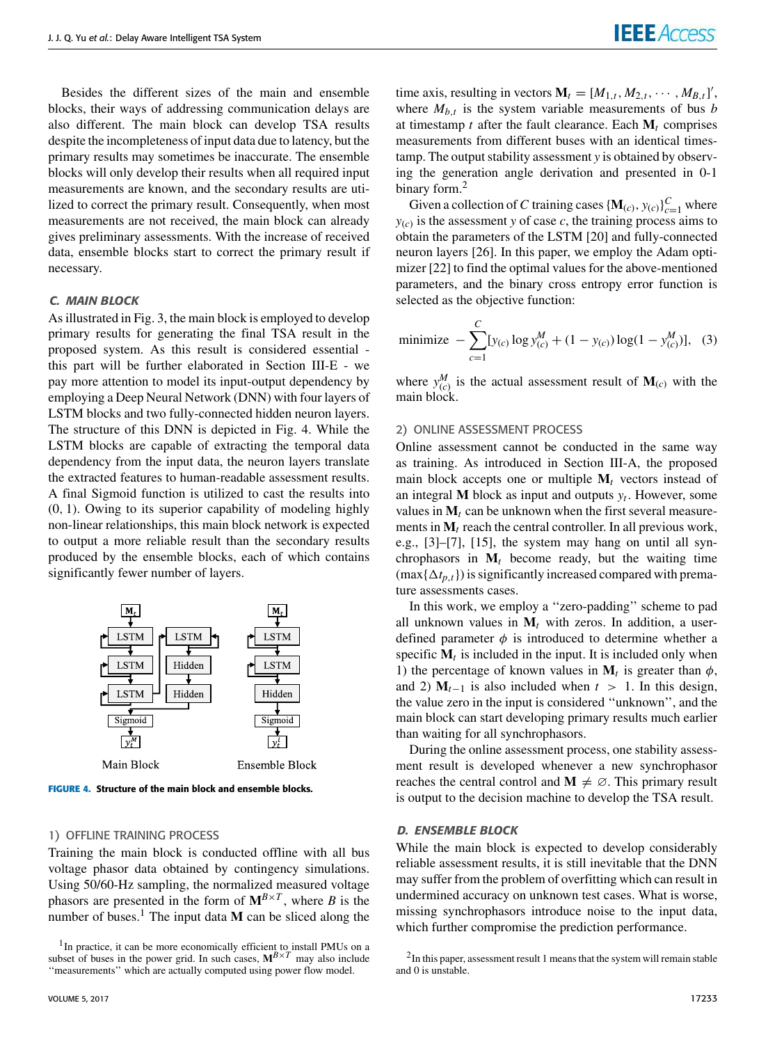Besides the different sizes of the main and ensemble blocks, their ways of addressing communication delays are also different. The main block can develop TSA results despite the incompleteness of input data due to latency, but the primary results may sometimes be inaccurate. The ensemble blocks will only develop their results when all required input measurements are known, and the secondary results are utilized to correct the primary result. Consequently, when most measurements are not received, the main block can already gives preliminary assessments. With the increase of received data, ensemble blocks start to correct the primary result if necessary.

#### C. MAIN BLOCK

As illustrated in Fig. 3, the main block is employed to develop primary results for generating the final TSA result in the proposed system. As this result is considered essential this part will be further elaborated in Section III-E - we pay more attention to model its input-output dependency by employing a Deep Neural Network (DNN) with four layers of LSTM blocks and two fully-connected hidden neuron layers. The structure of this DNN is depicted in Fig. 4. While the LSTM blocks are capable of extracting the temporal data dependency from the input data, the neuron layers translate the extracted features to human-readable assessment results. A final Sigmoid function is utilized to cast the results into (0, 1). Owing to its superior capability of modeling highly non-linear relationships, this main block network is expected to output a more reliable result than the secondary results produced by the ensemble blocks, each of which contains significantly fewer number of layers.



**FIGURE 4.** Structure of the main block and ensemble blocks.

#### 1) OFFLINE TRAINING PROCESS

Training the main block is conducted offline with all bus voltage phasor data obtained by contingency simulations. Using 50/60-Hz sampling, the normalized measured voltage phasors are presented in the form of  $M^{B \times T}$ , where *B* is the number of buses.<sup>1</sup> The input data  $M$  can be sliced along the

time axis, resulting in vectors  $\mathbf{M}_t = [M_{1,t}, M_{2,t}, \cdots, M_{B,t}]'$ , where  $M_{b,t}$  is the system variable measurements of bus *b* at timestamp  $t$  after the fault clearance. Each  $M_t$  comprises measurements from different buses with an identical timestamp. The output stability assessment *y* is obtained by observing the generation angle derivation and presented in 0-1 binary form.<sup>2</sup>

Given a collection of *C* training cases  $\{M_{(c)}, y_{(c)}\}_{c=1}^C$  where  $y(c)$  is the assessment *y* of case *c*, the training process aims to obtain the parameters of the LSTM [20] and fully-connected neuron layers [26]. In this paper, we employ the Adam optimizer [22] to find the optimal values for the above-mentioned parameters, and the binary cross entropy error function is selected as the objective function:

minimize 
$$
-\sum_{c=1}^{C} [y_{(c)} \log y_{(c)}^M + (1 - y_{(c)}) \log(1 - y_{(c)}^M)],
$$
 (3)

where  $y_{(c)}^M$  is the actual assessment result of  $M_{(c)}$  with the main block.

#### 2) ONLINE ASSESSMENT PROCESS

Online assessment cannot be conducted in the same way as training. As introduced in Section III-A, the proposed main block accepts one or multiple  $M_t$  vectors instead of an integral **M** block as input and outputs *y<sup>t</sup>* . However, some values in  $M_t$  can be unknown when the first several measurements in  $M_t$  reach the central controller. In all previous work, e.g., [3]–[7], [15], the system may hang on until all synchrophasors in  $M_t$  become ready, but the waiting time  $(\max{\{\Delta t_{p,t}\}})$  is significantly increased compared with premature assessments cases.

In this work, we employ a ''zero-padding'' scheme to pad all unknown values in  $M_t$  with zeros. In addition, a userdefined parameter  $\phi$  is introduced to determine whether a specific  $M_t$  is included in the input. It is included only when 1) the percentage of known values in  $M_t$  is greater than  $\phi$ , and 2)  $M_{t-1}$  is also included when  $t > 1$ . In this design, the value zero in the input is considered ''unknown'', and the main block can start developing primary results much earlier than waiting for all synchrophasors.

During the online assessment process, one stability assessment result is developed whenever a new synchrophasor reaches the central control and  $M \neq \emptyset$ . This primary result is output to the decision machine to develop the TSA result.

#### D. ENSEMBLE BLOCK

While the main block is expected to develop considerably reliable assessment results, it is still inevitable that the DNN may suffer from the problem of overfitting which can result in undermined accuracy on unknown test cases. What is worse, missing synchrophasors introduce noise to the input data, which further compromise the prediction performance.

<sup>&</sup>lt;sup>1</sup>In practice, it can be more economically efficient to install PMUs on a subset of buses in the power grid. In such cases,  $M^{B \times T}$  may also include "measurements" which are actually computed using power flow model.

<sup>&</sup>lt;sup>2</sup>In this paper, assessment result 1 means that the system will remain stable and 0 is unstable.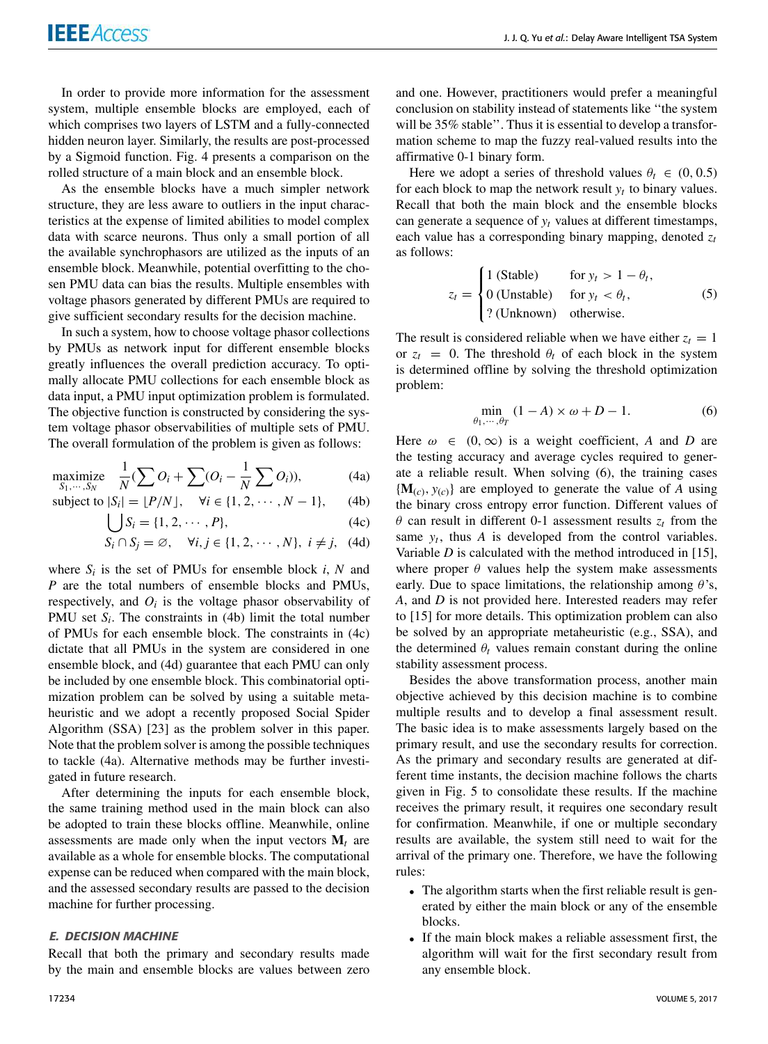In order to provide more information for the assessment system, multiple ensemble blocks are employed, each of which comprises two layers of LSTM and a fully-connected hidden neuron layer. Similarly, the results are post-processed by a Sigmoid function. Fig. 4 presents a comparison on the rolled structure of a main block and an ensemble block.

As the ensemble blocks have a much simpler network structure, they are less aware to outliers in the input characteristics at the expense of limited abilities to model complex data with scarce neurons. Thus only a small portion of all the available synchrophasors are utilized as the inputs of an ensemble block. Meanwhile, potential overfitting to the chosen PMU data can bias the results. Multiple ensembles with voltage phasors generated by different PMUs are required to give sufficient secondary results for the decision machine.

In such a system, how to choose voltage phasor collections by PMUs as network input for different ensemble blocks greatly influences the overall prediction accuracy. To optimally allocate PMU collections for each ensemble block as data input, a PMU input optimization problem is formulated. The objective function is constructed by considering the system voltage phasor observabilities of multiple sets of PMU. The overall formulation of the problem is given as follows:

$$
\underset{S_1,\cdots,S_N}{\text{maximize}} \quad \frac{1}{N} (\sum O_i + \sum (O_i - \frac{1}{N} \sum O_i)),\tag{4a}
$$

subject to 
$$
|S_i| = \lfloor P/N \rfloor
$$
,  $\forall i \in \{1, 2, \cdots, N-1\}$ , (4b)

$$
\bigcup S_i = \{1, 2, \cdots, P\},\tag{4c}
$$

$$
S_i \cap S_j = \varnothing, \quad \forall i, j \in \{1, 2, \cdots, N\}, \ i \neq j, \ (4d)
$$

where  $S_i$  is the set of PMUs for ensemble block  $i$ ,  $N$  and *P* are the total numbers of ensemble blocks and PMUs, respectively, and  $O_i$  is the voltage phasor observability of PMU set  $S_i$ . The constraints in (4b) limit the total number of PMUs for each ensemble block. The constraints in (4c) dictate that all PMUs in the system are considered in one ensemble block, and (4d) guarantee that each PMU can only be included by one ensemble block. This combinatorial optimization problem can be solved by using a suitable metaheuristic and we adopt a recently proposed Social Spider Algorithm (SSA) [23] as the problem solver in this paper. Note that the problem solver is among the possible techniques to tackle (4a). Alternative methods may be further investigated in future research.

After determining the inputs for each ensemble block, the same training method used in the main block can also be adopted to train these blocks offline. Meanwhile, online assessments are made only when the input vectors  $M_t$  are available as a whole for ensemble blocks. The computational expense can be reduced when compared with the main block, and the assessed secondary results are passed to the decision machine for further processing.

#### E. DECISION MACHINE

Recall that both the primary and secondary results made by the main and ensemble blocks are values between zero

and one. However, practitioners would prefer a meaningful conclusion on stability instead of statements like ''the system will be 35% stable''. Thus it is essential to develop a transformation scheme to map the fuzzy real-valued results into the affirmative 0-1 binary form.

Here we adopt a series of threshold values  $\theta_t \in (0, 0.5)$ for each block to map the network result  $y_t$  to binary values. Recall that both the main block and the ensemble blocks can generate a sequence of  $y_t$  values at different timestamps, each value has a corresponding binary mapping, denoted *z<sup>t</sup>* as follows:

$$
z_t = \begin{cases} 1 \text{ (Stable)} & \text{for } y_t > 1 - \theta_t, \\ 0 \text{ (Unstable)} & \text{for } y_t < \theta_t, \\ ? \text{ (Unknown)} & \text{otherwise.} \end{cases} \tag{5}
$$

The result is considered reliable when we have either  $z_t = 1$ or  $z_t = 0$ . The threshold  $\theta_t$  of each block in the system is determined offline by solving the threshold optimization problem:

$$
\min_{\theta_1,\cdots,\theta_T} (1-A) \times \omega + D - 1. \tag{6}
$$

Here  $\omega \in (0, \infty)$  is a weight coefficient, A and D are the testing accuracy and average cycles required to generate a reliable result. When solving (6), the training cases  ${ {\bf M}_{(c),\,Y(c)} }$  are employed to generate the value of *A* using the binary cross entropy error function. Different values of  $\theta$  can result in different 0-1 assessment results  $z_t$  from the same  $y_t$ , thus  $A$  is developed from the control variables. Variable *D* is calculated with the method introduced in [15], where proper  $\theta$  values help the system make assessments early. Due to space limitations, the relationship among  $\theta$ 's, *A*, and *D* is not provided here. Interested readers may refer to [15] for more details. This optimization problem can also be solved by an appropriate metaheuristic (e.g., SSA), and the determined  $\theta_t$  values remain constant during the online stability assessment process.

Besides the above transformation process, another main objective achieved by this decision machine is to combine multiple results and to develop a final assessment result. The basic idea is to make assessments largely based on the primary result, and use the secondary results for correction. As the primary and secondary results are generated at different time instants, the decision machine follows the charts given in Fig. 5 to consolidate these results. If the machine receives the primary result, it requires one secondary result for confirmation. Meanwhile, if one or multiple secondary results are available, the system still need to wait for the arrival of the primary one. Therefore, we have the following rules:

- The algorithm starts when the first reliable result is generated by either the main block or any of the ensemble blocks.
- If the main block makes a reliable assessment first, the algorithm will wait for the first secondary result from any ensemble block.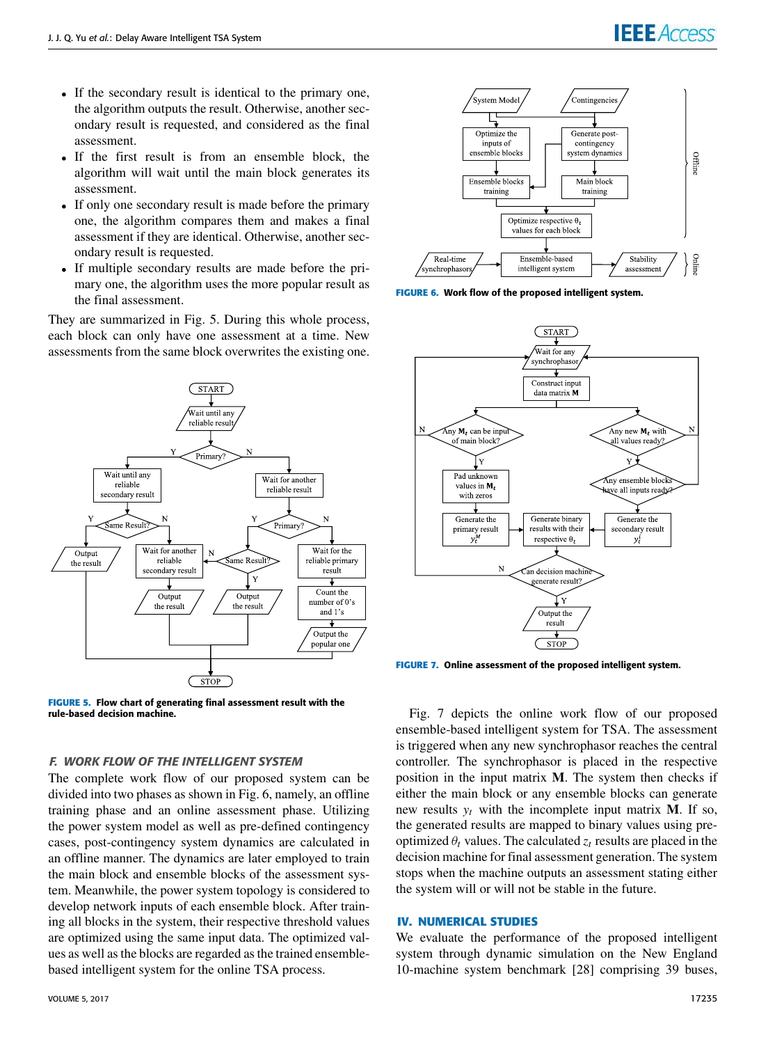- If the secondary result is identical to the primary one, the algorithm outputs the result. Otherwise, another secondary result is requested, and considered as the final assessment.
- If the first result is from an ensemble block, the algorithm will wait until the main block generates its assessment.
- If only one secondary result is made before the primary one, the algorithm compares them and makes a final assessment if they are identical. Otherwise, another secondary result is requested.
- If multiple secondary results are made before the primary one, the algorithm uses the more popular result as the final assessment.

They are summarized in Fig. 5. During this whole process, each block can only have one assessment at a time. New assessments from the same block overwrites the existing one.



**FIGURE 5.** Flow chart of generating final assessment result with the rule-based decision machine.

#### F. WORK FLOW OF THE INTELLIGENT SYSTEM

The complete work flow of our proposed system can be divided into two phases as shown in Fig. 6, namely, an offline training phase and an online assessment phase. Utilizing the power system model as well as pre-defined contingency cases, post-contingency system dynamics are calculated in an offline manner. The dynamics are later employed to train the main block and ensemble blocks of the assessment system. Meanwhile, the power system topology is considered to develop network inputs of each ensemble block. After training all blocks in the system, their respective threshold values are optimized using the same input data. The optimized values as well as the blocks are regarded as the trained ensemblebased intelligent system for the online TSA process.



**FIGURE 6.** Work flow of the proposed intelligent system.



**FIGURE 7.** Online assessment of the proposed intelligent system.

Fig. 7 depicts the online work flow of our proposed ensemble-based intelligent system for TSA. The assessment is triggered when any new synchrophasor reaches the central controller. The synchrophasor is placed in the respective position in the input matrix **M**. The system then checks if either the main block or any ensemble blocks can generate new results  $y_t$  with the incomplete input matrix **M**. If so, the generated results are mapped to binary values using preoptimized  $\theta_t$  values. The calculated  $z_t$  results are placed in the decision machine for final assessment generation. The system stops when the machine outputs an assessment stating either the system will or will not be stable in the future.

#### **IV. NUMERICAL STUDIES**

We evaluate the performance of the proposed intelligent system through dynamic simulation on the New England 10-machine system benchmark [28] comprising 39 buses,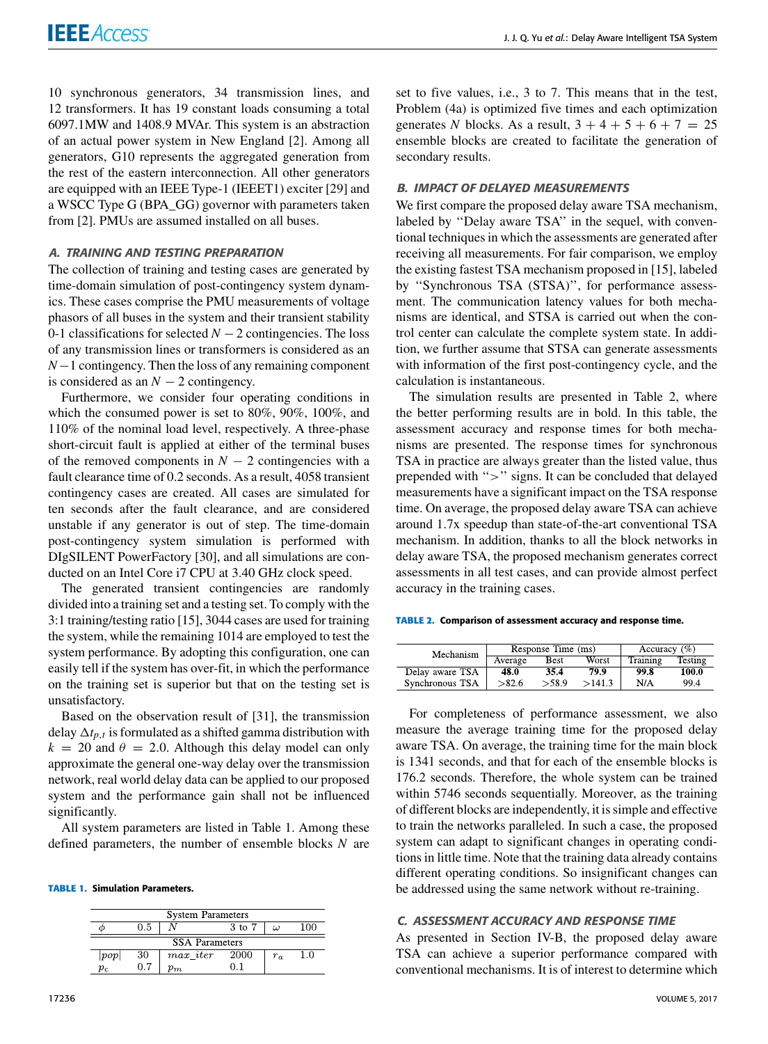10 synchronous generators, 34 transmission lines, and 12 transformers. It has 19 constant loads consuming a total 6097.1MW and 1408.9 MVAr. This system is an abstraction of an actual power system in New England [2]. Among all generators, G10 represents the aggregated generation from the rest of the eastern interconnection. All other generators are equipped with an IEEE Type-1 (IEEET1) exciter [29] and a WSCC Type G (BPA\_GG) governor with parameters taken from [2]. PMUs are assumed installed on all buses.

#### A. TRAINING AND TESTING PREPARATION

The collection of training and testing cases are generated by time-domain simulation of post-contingency system dynamics. These cases comprise the PMU measurements of voltage phasors of all buses in the system and their transient stability 0-1 classifications for selected *N* − 2 contingencies. The loss of any transmission lines or transformers is considered as an *N*−1 contingency. Then the loss of any remaining component is considered as an  $N-2$  contingency.

Furthermore, we consider four operating conditions in which the consumed power is set to 80%, 90%, 100%, and 110% of the nominal load level, respectively. A three-phase short-circuit fault is applied at either of the terminal buses of the removed components in  $N - 2$  contingencies with a fault clearance time of 0.2 seconds. As a result, 4058 transient contingency cases are created. All cases are simulated for ten seconds after the fault clearance, and are considered unstable if any generator is out of step. The time-domain post-contingency system simulation is performed with DIgSILENT PowerFactory [30], and all simulations are conducted on an Intel Core i7 CPU at 3.40 GHz clock speed.

The generated transient contingencies are randomly divided into a training set and a testing set. To comply with the 3:1 training/testing ratio [15], 3044 cases are used for training the system, while the remaining 1014 are employed to test the system performance. By adopting this configuration, one can easily tell if the system has over-fit, in which the performance on the training set is superior but that on the testing set is unsatisfactory.

Based on the observation result of [31], the transmission delay  $\Delta t_{p,t}$  is formulated as a shifted gamma distribution with  $k = 20$  and  $\theta = 2.0$ . Although this delay model can only approximate the general one-way delay over the transmission network, real world delay data can be applied to our proposed system and the performance gain shall not be influenced significantly.

All system parameters are listed in Table 1. Among these defined parameters, the number of ensemble blocks *N* are

**TABLE 1.** Simulation Parameters.

| <b>System Parameters</b> |     |             |        |       |     |  |  |
|--------------------------|-----|-------------|--------|-------|-----|--|--|
|                          | 0.5 |             | 3 to 7 | ω     | 100 |  |  |
| <b>SSA</b> Parameters    |     |             |        |       |     |  |  |
| pop                      | 30  | $max\_iter$ | 2000   | $r_a$ | 1.0 |  |  |
| $p_c$                    | 0.7 | $p_{m}$     |        |       |     |  |  |

set to five values, i.e., 3 to 7. This means that in the test, Problem (4a) is optimized five times and each optimization generates *N* blocks. As a result,  $3 + 4 + 5 + 6 + 7 = 25$ ensemble blocks are created to facilitate the generation of secondary results.

#### B. IMPACT OF DELAYED MEASUREMENTS

We first compare the proposed delay aware TSA mechanism, labeled by ''Delay aware TSA'' in the sequel, with conventional techniques in which the assessments are generated after receiving all measurements. For fair comparison, we employ the existing fastest TSA mechanism proposed in [15], labeled by ''Synchronous TSA (STSA)'', for performance assessment. The communication latency values for both mechanisms are identical, and STSA is carried out when the control center can calculate the complete system state. In addition, we further assume that STSA can generate assessments with information of the first post-contingency cycle, and the calculation is instantaneous.

The simulation results are presented in Table 2, where the better performing results are in bold. In this table, the assessment accuracy and response times for both mechanisms are presented. The response times for synchronous TSA in practice are always greater than the listed value, thus prepended with ''>'' signs. It can be concluded that delayed measurements have a significant impact on the TSA response time. On average, the proposed delay aware TSA can achieve around 1.7x speedup than state-of-the-art conventional TSA mechanism. In addition, thanks to all the block networks in delay aware TSA, the proposed mechanism generates correct assessments in all test cases, and can provide almost perfect accuracy in the training cases.

**TABLE 2.** Comparison of assessment accuracy and response time.

| Mechanism       | Response Time (ms) |             |        | Accuracy $(\% )$ |         |
|-----------------|--------------------|-------------|--------|------------------|---------|
|                 | Average            | <b>Best</b> | Worst  | Training         | Testing |
| Delay aware TSA | 48.0               | 35.4        | 79.9   | 99.8             | 100.0   |
| Synchronous TSA | >82.6              | > 58.9      | >141.3 | N/A              | 99.4    |

For completeness of performance assessment, we also measure the average training time for the proposed delay aware TSA. On average, the training time for the main block is 1341 seconds, and that for each of the ensemble blocks is 176.2 seconds. Therefore, the whole system can be trained within 5746 seconds sequentially. Moreover, as the training of different blocks are independently, it is simple and effective to train the networks paralleled. In such a case, the proposed system can adapt to significant changes in operating conditions in little time. Note that the training data already contains different operating conditions. So insignificant changes can be addressed using the same network without re-training.

#### C. ASSESSMENT ACCURACY AND RESPONSE TIME

As presented in Section IV-B, the proposed delay aware TSA can achieve a superior performance compared with conventional mechanisms. It is of interest to determine which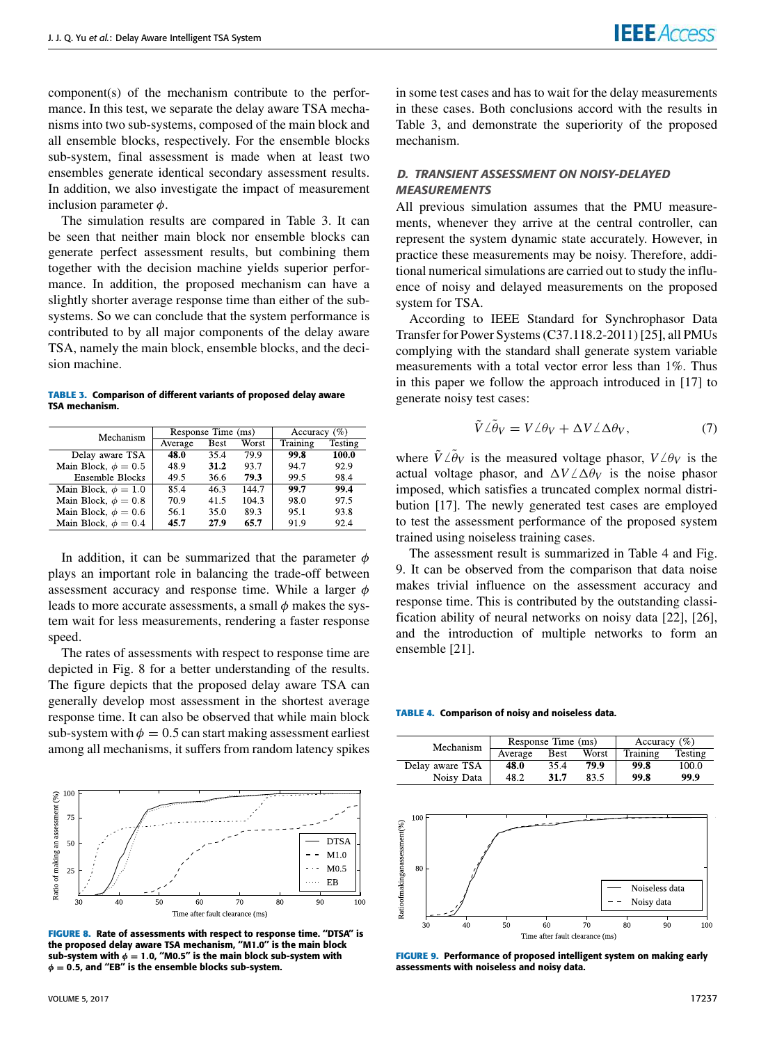component(s) of the mechanism contribute to the performance. In this test, we separate the delay aware TSA mechanisms into two sub-systems, composed of the main block and all ensemble blocks, respectively. For the ensemble blocks sub-system, final assessment is made when at least two ensembles generate identical secondary assessment results. In addition, we also investigate the impact of measurement inclusion parameter  $\phi$ .

The simulation results are compared in Table 3. It can be seen that neither main block nor ensemble blocks can generate perfect assessment results, but combining them together with the decision machine yields superior performance. In addition, the proposed mechanism can have a slightly shorter average response time than either of the subsystems. So we can conclude that the system performance is contributed to by all major components of the delay aware TSA, namely the main block, ensemble blocks, and the decision machine.

#### **TABLE 3.** Comparison of different variants of proposed delay aware TSA mechanism.

| Mechanism                | Response Time (ms) |             |       | Accuracy $(\% )$ |                |
|--------------------------|--------------------|-------------|-------|------------------|----------------|
|                          | Average            | <b>Best</b> | Worst | Training         | <b>Testing</b> |
| Delay aware TSA          | 48.0               | 35.4        | 79.9  | 99.8             | 100.0          |
| Main Block, $\phi = 0.5$ | 48.9               | 31.2        | 93.7  | 94.7             | 92.9           |
| Ensemble Blocks          | 49.5               | 36.6        | 79.3  | 99.5             | 98.4           |
| Main Block, $\phi = 1.0$ | 85.4               | 46.3        | 144.7 | 99.7             | 99.4           |
| Main Block, $\phi = 0.8$ | 70.9               | 41.5        | 104.3 | 98.0             | 97.5           |
| Main Block, $\phi = 0.6$ | 56.1               | 35.0        | 89.3  | 95.1             | 93.8           |
| Main Block, $\phi = 0.4$ | 45.7               | 27.9        | 65.7  | 91.9             | 92.4           |

In addition, it can be summarized that the parameter  $\phi$ plays an important role in balancing the trade-off between assessment accuracy and response time. While a larger  $\phi$ leads to more accurate assessments, a small  $\phi$  makes the system wait for less measurements, rendering a faster response speed.

The rates of assessments with respect to response time are depicted in Fig. 8 for a better understanding of the results. The figure depicts that the proposed delay aware TSA can generally develop most assessment in the shortest average response time. It can also be observed that while main block sub-system with  $\phi = 0.5$  can start making assessment earliest among all mechanisms, it suffers from random latency spikes



FIGURE 8. Rate of assessments with respect to response time. "DTSA" is the proposed delay aware TSA mechanism, ''M1.0'' is the main block sub-system with  $\phi = 1.0$ , "M0.5" is the main block sub-system with  $\phi = 0.5$ , and "EB" is the ensemble blocks sub-system.

in some test cases and has to wait for the delay measurements in these cases. Both conclusions accord with the results in Table 3, and demonstrate the superiority of the proposed mechanism.

#### D. TRANSIENT ASSESSMENT ON NOISY-DELAYED **MEASUREMENTS**

All previous simulation assumes that the PMU measurements, whenever they arrive at the central controller, can represent the system dynamic state accurately. However, in practice these measurements may be noisy. Therefore, additional numerical simulations are carried out to study the influence of noisy and delayed measurements on the proposed system for TSA.

According to IEEE Standard for Synchrophasor Data Transfer for Power Systems (C37.118.2-2011) [25], all PMUs complying with the standard shall generate system variable measurements with a total vector error less than 1%. Thus in this paper we follow the approach introduced in [17] to generate noisy test cases:

$$
\tilde{V} \angle \tilde{\theta}_V = V \angle \theta_V + \Delta V \angle \Delta \theta_V, \qquad (7)
$$

where  $\tilde{V} \angle \tilde{\theta}_V$  is the measured voltage phasor,  $V \angle \theta_V$  is the actual voltage phasor, and  $\Delta V / \Delta \theta_V$  is the noise phasor imposed, which satisfies a truncated complex normal distribution [17]. The newly generated test cases are employed to test the assessment performance of the proposed system trained using noiseless training cases.

The assessment result is summarized in Table 4 and Fig. 9. It can be observed from the comparison that data noise makes trivial influence on the assessment accuracy and response time. This is contributed by the outstanding classification ability of neural networks on noisy data [22], [26], and the introduction of multiple networks to form an ensemble [21].

**TABLE 4.** Comparison of noisy and noiseless data.

| Mechanism       | Response Time (ms) |             |       | Accuracy $(\% )$ |         |
|-----------------|--------------------|-------------|-------|------------------|---------|
|                 | Average            | <b>Best</b> | Worst | Training         | Testing |
| Delay aware TSA | 48.0               | 35.4        | 79.9  | 99.8             | 100.0   |
| Noisy Data      | 48.2               | 31.7        | 83.5  | 99.8             | 99.9    |



**FIGURE 9.** Performance of proposed intelligent system on making early assessments with noiseless and noisy data.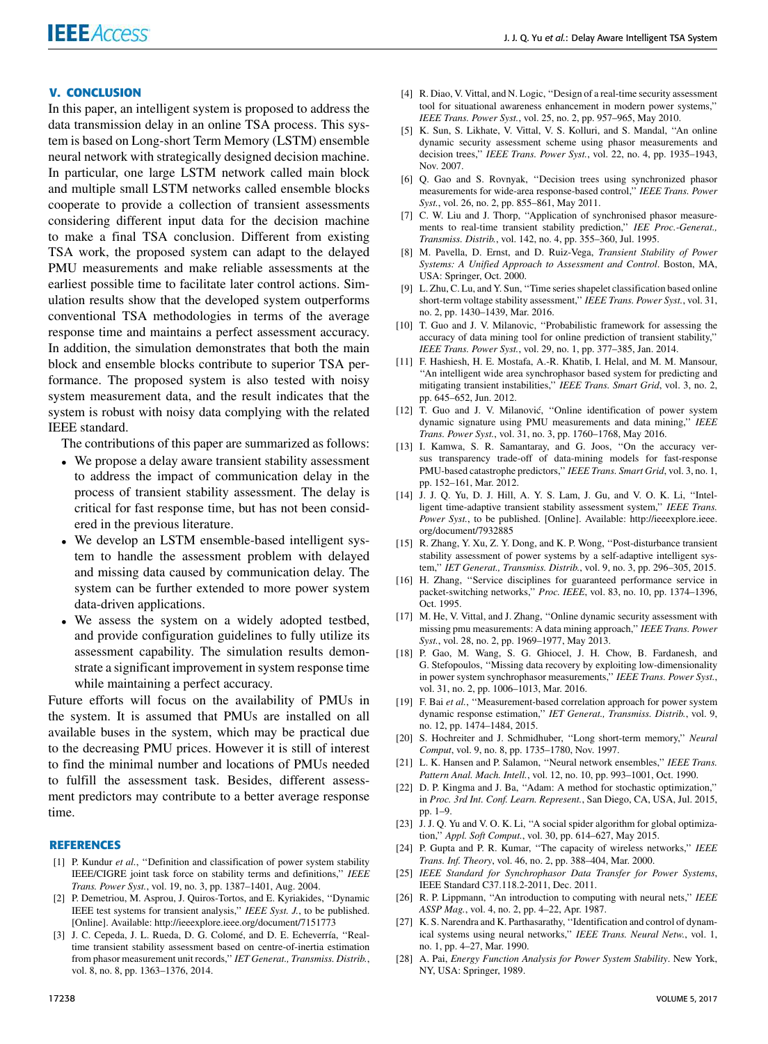#### **V. CONCLUSION**

In this paper, an intelligent system is proposed to address the data transmission delay in an online TSA process. This system is based on Long-short Term Memory (LSTM) ensemble neural network with strategically designed decision machine. In particular, one large LSTM network called main block and multiple small LSTM networks called ensemble blocks cooperate to provide a collection of transient assessments considering different input data for the decision machine to make a final TSA conclusion. Different from existing TSA work, the proposed system can adapt to the delayed PMU measurements and make reliable assessments at the earliest possible time to facilitate later control actions. Simulation results show that the developed system outperforms conventional TSA methodologies in terms of the average response time and maintains a perfect assessment accuracy. In addition, the simulation demonstrates that both the main block and ensemble blocks contribute to superior TSA performance. The proposed system is also tested with noisy system measurement data, and the result indicates that the system is robust with noisy data complying with the related IEEE standard.

The contributions of this paper are summarized as follows:

- We propose a delay aware transient stability assessment to address the impact of communication delay in the process of transient stability assessment. The delay is critical for fast response time, but has not been considered in the previous literature.
- We develop an LSTM ensemble-based intelligent system to handle the assessment problem with delayed and missing data caused by communication delay. The system can be further extended to more power system data-driven applications.
- We assess the system on a widely adopted testbed, and provide configuration guidelines to fully utilize its assessment capability. The simulation results demonstrate a significant improvement in system response time while maintaining a perfect accuracy.

Future efforts will focus on the availability of PMUs in the system. It is assumed that PMUs are installed on all available buses in the system, which may be practical due to the decreasing PMU prices. However it is still of interest to find the minimal number and locations of PMUs needed to fulfill the assessment task. Besides, different assessment predictors may contribute to a better average response time.

#### **REFERENCES**

- [1] P. Kundur et al., "Definition and classification of power system stability IEEE/CIGRE joint task force on stability terms and definitions,'' *IEEE Trans. Power Syst.*, vol. 19, no. 3, pp. 1387–1401, Aug. 2004.
- [2] P. Demetriou, M. Asprou, J. Quiros-Tortos, and E. Kyriakides, ''Dynamic IEEE test systems for transient analysis,'' *IEEE Syst. J.*, to be published. [Online]. Available: http://ieeexplore.ieee.org/document/7151773
- [3] J. C. Cepeda, J. L. Rueda, D. G. Colomé, and D. E. Echeverría, ''Realtime transient stability assessment based on centre-of-inertia estimation from phasor measurement unit records,'' *IET Generat., Transmiss. Distrib.*, vol. 8, no. 8, pp. 1363–1376, 2014.
- [4] R. Diao, V. Vittal, and N. Logic, "Design of a real-time security assessment tool for situational awareness enhancement in modern power systems,'' *IEEE Trans. Power Syst.*, vol. 25, no. 2, pp. 957–965, May 2010.
- [5] K. Sun, S. Likhate, V. Vittal, V. S. Kolluri, and S. Mandal, ''An online dynamic security assessment scheme using phasor measurements and decision trees,'' *IEEE Trans. Power Syst.*, vol. 22, no. 4, pp. 1935–1943, Nov. 2007.
- [6] Q. Gao and S. Rovnyak, ''Decision trees using synchronized phasor measurements for wide-area response-based control,'' *IEEE Trans. Power Syst.*, vol. 26, no. 2, pp. 855–861, May 2011.
- [7] C. W. Liu and J. Thorp, "Application of synchronised phasor measurements to real-time transient stability prediction,'' *IEE Proc.-Generat., Transmiss. Distrib.*, vol. 142, no. 4, pp. 355–360, Jul. 1995.
- [8] M. Pavella, D. Ernst, and D. Ruiz-Vega, *Transient Stability of Power Systems: A Unified Approach to Assessment and Control*. Boston, MA, USA: Springer, Oct. 2000.
- [9] L. Zhu, C. Lu, and Y. Sun, ''Time series shapelet classification based online short-term voltage stability assessment,'' *IEEE Trans. Power Syst.*, vol. 31, no. 2, pp. 1430–1439, Mar. 2016.
- [10] T. Guo and J. V. Milanovic, ''Probabilistic framework for assessing the accuracy of data mining tool for online prediction of transient stability,'' *IEEE Trans. Power Syst.*, vol. 29, no. 1, pp. 377–385, Jan. 2014.
- [11] F. Hashiesh, H. E. Mostafa, A.-R. Khatib, I. Helal, and M. M. Mansour, ''An intelligent wide area synchrophasor based system for predicting and mitigating transient instabilities,'' *IEEE Trans. Smart Grid*, vol. 3, no. 2, pp. 645–652, Jun. 2012.
- [12] T. Guo and J. V. Milanović, ''Online identification of power system dynamic signature using PMU measurements and data mining,'' *IEEE Trans. Power Syst.*, vol. 31, no. 3, pp. 1760–1768, May 2016.
- [13] I. Kamwa, S. R. Samantaray, and G. Joos, "On the accuracy versus transparency trade-off of data-mining models for fast-response PMU-based catastrophe predictors,'' *IEEE Trans. Smart Grid*, vol. 3, no. 1, pp. 152–161, Mar. 2012.
- [14] J. J. Q. Yu, D. J. Hill, A. Y. S. Lam, J. Gu, and V. O. K. Li, ''Intelligent time-adaptive transient stability assessment system,'' *IEEE Trans. Power Syst.*, to be published. [Online]. Available: http://ieeexplore.ieee. org/document/7932885
- [15] R. Zhang, Y. Xu, Z. Y. Dong, and K. P. Wong, "Post-disturbance transient stability assessment of power systems by a self-adaptive intelligent system,'' *IET Generat., Transmiss. Distrib.*, vol. 9, no. 3, pp. 296–305, 2015.
- [16] H. Zhang, ''Service disciplines for guaranteed performance service in packet-switching networks,'' *Proc. IEEE*, vol. 83, no. 10, pp. 1374–1396, Oct. 1995.
- [17] M. He, V. Vittal, and J. Zhang, "Online dynamic security assessment with missing pmu measurements: A data mining approach,'' *IEEE Trans. Power Syst.*, vol. 28, no. 2, pp. 1969–1977, May 2013.
- [18] P. Gao, M. Wang, S. G. Ghiocel, J. H. Chow, B. Fardanesh, and G. Stefopoulos, ''Missing data recovery by exploiting low-dimensionality in power system synchrophasor measurements,'' *IEEE Trans. Power Syst.*, vol. 31, no. 2, pp. 1006–1013, Mar. 2016.
- [19] F. Bai et al., "Measurement-based correlation approach for power system dynamic response estimation,'' *IET Generat., Transmiss. Distrib.*, vol. 9, no. 12, pp. 1474–1484, 2015.
- [20] S. Hochreiter and J. Schmidhuber, ''Long short-term memory,'' *Neural Comput*, vol. 9, no. 8, pp. 1735–1780, Nov. 1997.
- [21] L. K. Hansen and P. Salamon, ''Neural network ensembles,'' *IEEE Trans. Pattern Anal. Mach. Intell.*, vol. 12, no. 10, pp. 993–1001, Oct. 1990.
- [22] D. P. Kingma and J. Ba, "Adam: A method for stochastic optimization," in *Proc. 3rd Int. Conf. Learn. Represent.*, San Diego, CA, USA, Jul. 2015, pp. 1–9.
- [23] J. J. Q. Yu and V. O. K. Li, "A social spider algorithm for global optimization,'' *Appl. Soft Comput.*, vol. 30, pp. 614–627, May 2015.
- [24] P. Gupta and P. R. Kumar, ''The capacity of wireless networks,'' *IEEE Trans. Inf. Theory*, vol. 46, no. 2, pp. 388–404, Mar. 2000.
- [25] *IEEE Standard for Synchrophasor Data Transfer for Power Systems*, IEEE Standard C37.118.2-2011, Dec. 2011.
- [26] R. P. Lippmann, ''An introduction to computing with neural nets,'' *IEEE ASSP Mag.*, vol. 4, no. 2, pp. 4–22, Apr. 1987.
- [27] K. S. Narendra and K. Parthasarathy, ''Identification and control of dynamical systems using neural networks,'' *IEEE Trans. Neural Netw.*, vol. 1, no. 1, pp. 4–27, Mar. 1990.
- [28] A. Pai, *Energy Function Analysis for Power System Stability*. New York, NY, USA: Springer, 1989.